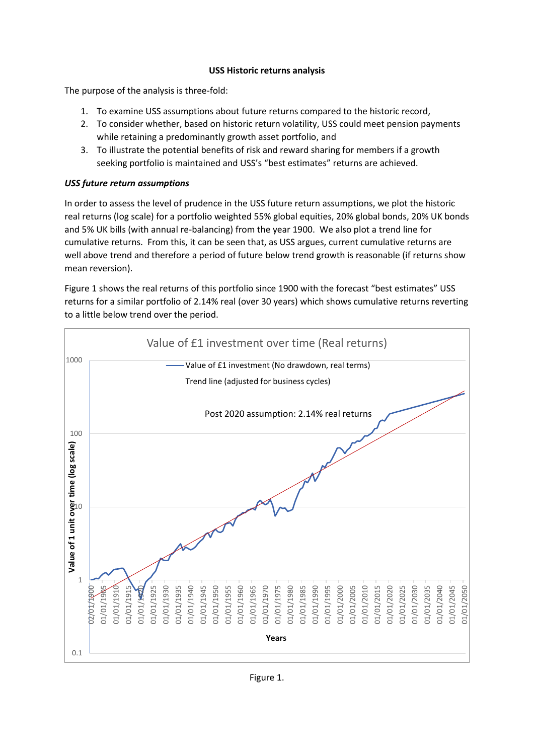## **USS Historic returns analysis**

The purpose of the analysis is three-fold:

- 1. To examine USS assumptions about future returns compared to the historic record,
- 2. To consider whether, based on historic return volatility, USS could meet pension payments while retaining a predominantly growth asset portfolio, and
- 3. To illustrate the potential benefits of risk and reward sharing for members if a growth seeking portfolio is maintained and USS's "best estimates" returns are achieved.

## *USS future return assumptions*

In order to assess the level of prudence in the USS future return assumptions, we plot the historic real returns (log scale) for a portfolio weighted 55% global equities, 20% global bonds, 20% UK bonds and 5% UK bills (with annual re-balancing) from the year 1900. We also plot a trend line for cumulative returns. From this, it can be seen that, as USS argues, current cumulative returns are well above trend and therefore a period of future below trend growth is reasonable (if returns show mean reversion).

Figure 1 shows the real returns of this portfolio since 1900 with the forecast "best estimates" USS returns for a similar portfolio of 2.14% real (over 30 years) which shows cumulative returns reverting to a little below trend over the period.

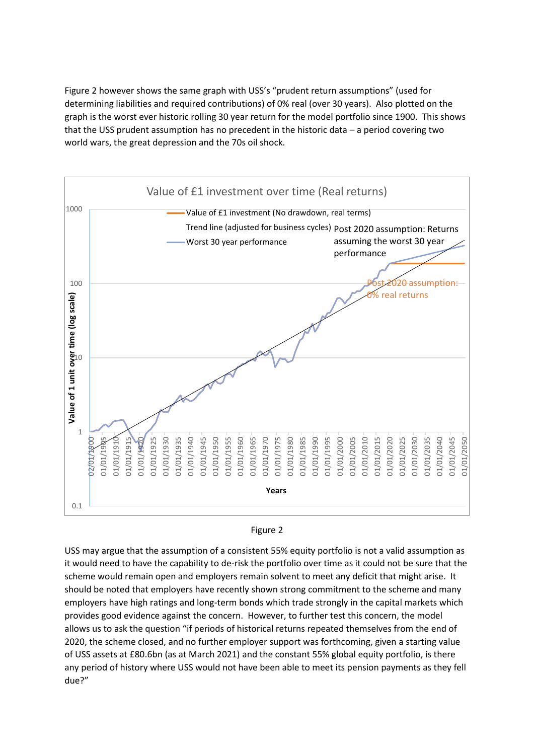Figure 2 however shows the same graph with USS's "prudent return assumptions" (used for determining liabilities and required contributions) of 0% real (over 30 years). Also plotted on the graph is the worst ever historic rolling 30 year return for the model portfolio since 1900. This shows that the USS prudent assumption has no precedent in the historic data – a period covering two world wars, the great depression and the 70s oil shock.



## Figure 2

USS may argue that the assumption of a consistent 55% equity portfolio is not a valid assumption as it would need to have the capability to de-risk the portfolio over time as it could not be sure that the scheme would remain open and employers remain solvent to meet any deficit that might arise. It should be noted that employers have recently shown strong commitment to the scheme and many employers have high ratings and long-term bonds which trade strongly in the capital markets which provides good evidence against the concern. However, to further test this concern, the model allows us to ask the question "if periods of historical returns repeated themselves from the end of 2020, the scheme closed, and no further employer support was forthcoming, given a starting value of USS assets at £80.6bn (as at March 2021) and the constant 55% global equity portfolio, is there any period of history where USS would not have been able to meet its pension payments as they fell due?"